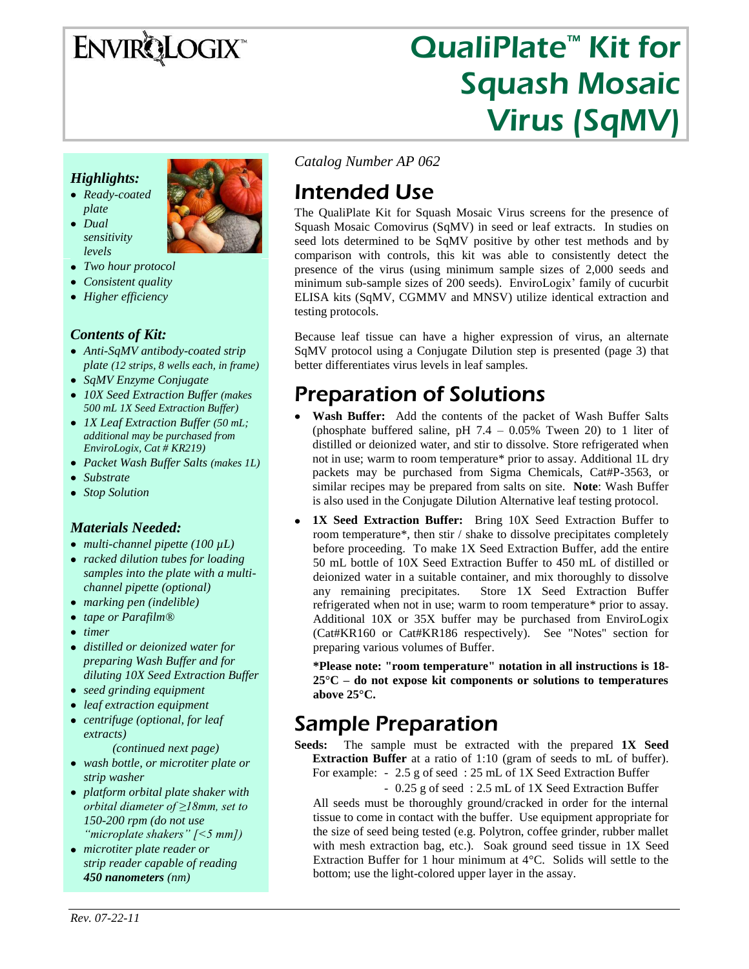# ENVIRQLOGIX<sup>\*</sup>

# QualiPlate<sup>™</sup> Kit for Squash Mosaic Virus (SqMV)

### *Highlights:*

*Ready-coated plate Dual* 

> *sensitivity levels*



- *Two hour protocol*
- *Consistent quality*
- *Higher efficiency*

#### *Contents of Kit:*

- *Anti-SqMV antibody-coated strip plate (12 strips, 8 wells each, in frame)*
- *SqMV Enzyme Conjugate*
- *10X Seed Extraction Buffer (makes 500 mL 1X Seed Extraction Buffer)*
- *1X Leaf Extraction Buffer (50 mL; additional may be purchased from EnviroLogix, Cat # KR219)*
- *Packet Wash Buffer Salts (makes 1L)*
- *Substrate*
- *Stop Solution*

#### *Materials Needed:*

- *multi-channel pipette (100 µL)*
- *racked dilution tubes for loading samples into the plate with a multichannel pipette (optional)*
- *marking pen (indelible)*
- *tape or Parafilm®*
- *timer*
- *distilled or deionized water for preparing Wash Buffer and for diluting 10X Seed Extraction Buffer*
- *seed grinding equipment*
- *leaf extraction equipment*
- *centrifuge (optional, for leaf extracts)*

*(continued next page)*

- *wash bottle, or microtiter plate or strip washer*
- *platform orbital plate shaker with orbital diameter of ≥18mm, set to 150-200 rpm (do not use "microplate shakers" [<5 mm])*
- *microtiter plate reader or strip reader capable of reading 450 nanometers (nm)*

*Catalog Number AP 062*

## Intended Use

The QualiPlate Kit for Squash Mosaic Virus screens for the presence of Squash Mosaic Comovirus (SqMV) in seed or leaf extracts. In studies on seed lots determined to be SqMV positive by other test methods and by comparison with controls, this kit was able to consistently detect the presence of the virus (using minimum sample sizes of 2,000 seeds and minimum sub-sample sizes of 200 seeds). EnviroLogix' family of cucurbit ELISA kits (SqMV, CGMMV and MNSV) utilize identical extraction and testing protocols.

Because leaf tissue can have a higher expression of virus, an alternate SqMV protocol using a Conjugate Dilution step is presented (page 3) that better differentiates virus levels in leaf samples.

### Preparation of Solutions

- **Wash Buffer:** Add the contents of the packet of Wash Buffer Salts (phosphate buffered saline, pH  $7.4 - 0.05\%$  Tween 20) to 1 liter of distilled or deionized water, and stir to dissolve. Store refrigerated when not in use; warm to room temperature\* prior to assay. Additional 1L dry packets may be purchased from Sigma Chemicals, Cat#P-3563, or similar recipes may be prepared from salts on site. **Note**: Wash Buffer is also used in the Conjugate Dilution Alternative leaf testing protocol.
- $\bullet$ **1X Seed Extraction Buffer:** Bring 10X Seed Extraction Buffer to room temperature\*, then stir / shake to dissolve precipitates completely before proceeding. To make 1X Seed Extraction Buffer, add the entire 50 mL bottle of 10X Seed Extraction Buffer to 450 mL of distilled or deionized water in a suitable container, and mix thoroughly to dissolve any remaining precipitates. Store 1X Seed Extraction Buffer refrigerated when not in use; warm to room temperature\* prior to assay. Additional 10X or 35X buffer may be purchased from EnviroLogix (Cat#KR160 or Cat#KR186 respectively). See "Notes" section for preparing various volumes of Buffer.

**\*Please note: "room temperature" notation in all instructions is 18- 25°C – do not expose kit components or solutions to temperatures above 25°C.**

### Sample Preparation

**Seeds:** The sample must be extracted with the prepared **1X Seed Extraction Buffer** at a ratio of 1:10 (gram of seeds to mL of buffer). For example: - 2.5 g of seed: 25 mL of 1X Seed Extraction Buffer

- 0.25 g of seed : 2.5 mL of 1X Seed Extraction Buffer

All seeds must be thoroughly ground/cracked in order for the internal tissue to come in contact with the buffer. Use equipment appropriate for the size of seed being tested (e.g. Polytron, coffee grinder, rubber mallet with mesh extraction bag, etc.). Soak ground seed tissue in 1X Seed Extraction Buffer for 1 hour minimum at 4°C. Solids will settle to the bottom; use the light-colored upper layer in the assay.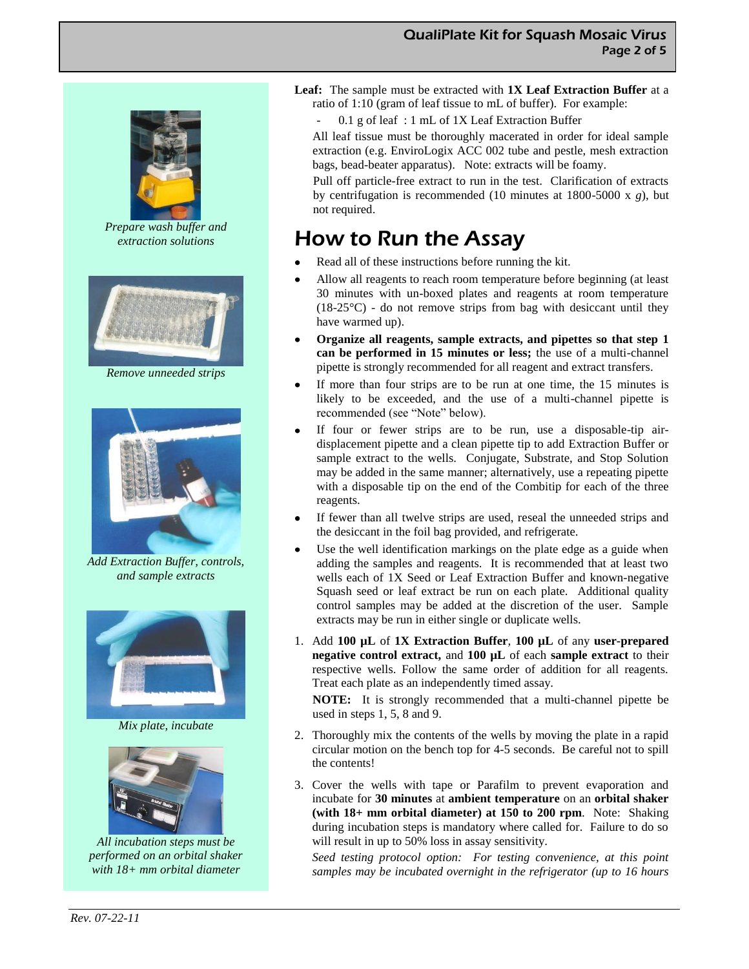

*Prepare wash buffer and extraction solutions*



*Remove unneeded strips*



*Add Extraction Buffer, controls, and sample extracts*



*Mix plate, incubate*



*All incubation steps must be performed on an orbital shaker with 18+ mm orbital diameter*

**Leaf:** The sample must be extracted with **1X Leaf Extraction Buffer** at a ratio of 1:10 (gram of leaf tissue to mL of buffer). For example:

- 0.1 g of leaf : 1 mL of 1X Leaf Extraction Buffer

All leaf tissue must be thoroughly macerated in order for ideal sample extraction (e.g. EnviroLogix ACC 002 tube and pestle, mesh extraction bags, bead-beater apparatus). Note: extracts will be foamy.

Pull off particle-free extract to run in the test. Clarification of extracts by centrifugation is recommended (10 minutes at 1800-5000 x *g*), but not required.

### How to Run the Assay

- Read all of these instructions before running the kit.
- $\bullet$ Allow all reagents to reach room temperature before beginning (at least 30 minutes with un-boxed plates and reagents at room temperature  $(18-25\degree C)$  - do not remove strips from bag with desiccant until they have warmed up).
- $\bullet$ **Organize all reagents, sample extracts, and pipettes so that step 1 can be performed in 15 minutes or less;** the use of a multi-channel pipette is strongly recommended for all reagent and extract transfers.
- If more than four strips are to be run at one time, the 15 minutes is  $\bullet$ likely to be exceeded, and the use of a multi-channel pipette is recommended (see "Note" below).
- If four or fewer strips are to be run, use a disposable-tip airdisplacement pipette and a clean pipette tip to add Extraction Buffer or sample extract to the wells. Conjugate, Substrate, and Stop Solution may be added in the same manner; alternatively, use a repeating pipette with a disposable tip on the end of the Combitip for each of the three reagents.
- If fewer than all twelve strips are used, reseal the unneeded strips and the desiccant in the foil bag provided, and refrigerate.
- Use the well identification markings on the plate edge as a guide when  $\bullet$ adding the samples and reagents. It is recommended that at least two wells each of 1X Seed or Leaf Extraction Buffer and known-negative Squash seed or leaf extract be run on each plate. Additional quality control samples may be added at the discretion of the user. Sample extracts may be run in either single or duplicate wells.
- 1. Add **100 µL** of **1X Extraction Buffer**, **100 µL** of any **user-prepared negative control extract,** and **100 µL** of each **sample extract** to their respective wells. Follow the same order of addition for all reagents. Treat each plate as an independently timed assay.

**NOTE:** It is strongly recommended that a multi-channel pipette be used in steps 1, 5, 8 and 9.

- 2. Thoroughly mix the contents of the wells by moving the plate in a rapid circular motion on the bench top for 4-5 seconds. Be careful not to spill the contents!
- 3. Cover the wells with tape or Parafilm to prevent evaporation and incubate for **30 minutes** at **ambient temperature** on an **orbital shaker (with 18+ mm orbital diameter) at 150 to 200 rpm**. Note: Shaking during incubation steps is mandatory where called for. Failure to do so will result in up to 50% loss in assay sensitivity.

*Seed testing protocol option: For testing convenience, at this point samples may be incubated overnight in the refrigerator (up to 16 hours*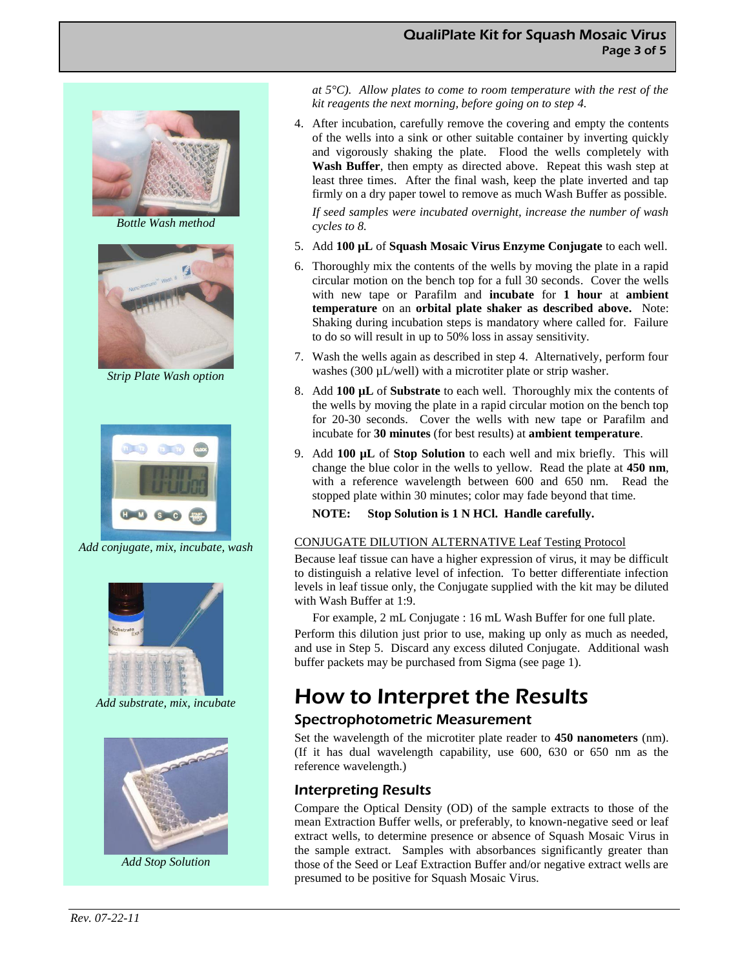

*Bottle Wash method*



*Strip Plate Wash option*



*Add conjugate, mix, incubate, wash*



*Add substrate, mix, incubate*



*Add Stop Solution*

*at 5°C). Allow plates to come to room temperature with the rest of the kit reagents the next morning, before going on to step 4.*

4. After incubation, carefully remove the covering and empty the contents of the wells into a sink or other suitable container by inverting quickly and vigorously shaking the plate. Flood the wells completely with **Wash Buffer**, then empty as directed above. Repeat this wash step at least three times. After the final wash, keep the plate inverted and tap firmly on a dry paper towel to remove as much Wash Buffer as possible.

*If seed samples were incubated overnight, increase the number of wash cycles to 8.*

- 5. Add **100 µL** of **Squash Mosaic Virus Enzyme Conjugate** to each well.
- 6. Thoroughly mix the contents of the wells by moving the plate in a rapid circular motion on the bench top for a full 30 seconds. Cover the wells with new tape or Parafilm and **incubate** for **1 hour** at **ambient temperature** on an **orbital plate shaker as described above.** Note: Shaking during incubation steps is mandatory where called for. Failure to do so will result in up to 50% loss in assay sensitivity.
- 7. Wash the wells again as described in step 4. Alternatively, perform four washes (300 µL/well) with a microtiter plate or strip washer.
- 8. Add **100 µL** of **Substrate** to each well. Thoroughly mix the contents of the wells by moving the plate in a rapid circular motion on the bench top for 20-30 seconds. Cover the wells with new tape or Parafilm and incubate for **30 minutes** (for best results) at **ambient temperature**.
- 9. Add **100 µL** of **Stop Solution** to each well and mix briefly. This will change the blue color in the wells to yellow. Read the plate at **450 nm**, with a reference wavelength between 600 and 650 nm. Read the stopped plate within 30 minutes; color may fade beyond that time.
	- **NOTE: Stop Solution is 1 N HCl. Handle carefully.**

#### CONJUGATE DILUTION ALTERNATIVE Leaf Testing Protocol

Because leaf tissue can have a higher expression of virus, it may be difficult to distinguish a relative level of infection. To better differentiate infection levels in leaf tissue only, the Conjugate supplied with the kit may be diluted with Wash Buffer at 1:9.

For example, 2 mL Conjugate : 16 mL Wash Buffer for one full plate.

Perform this dilution just prior to use, making up only as much as needed, and use in Step 5. Discard any excess diluted Conjugate. Additional wash buffer packets may be purchased from Sigma (see page 1).

### How to Interpret the Results

### Spectrophotometric Measurement

Set the wavelength of the microtiter plate reader to **450 nanometers** (nm). (If it has dual wavelength capability, use 600, 630 or 650 nm as the reference wavelength.)

#### Interpreting Results

Compare the Optical Density (OD) of the sample extracts to those of the mean Extraction Buffer wells, or preferably, to known-negative seed or leaf extract wells, to determine presence or absence of Squash Mosaic Virus in the sample extract. Samples with absorbances significantly greater than those of the Seed or Leaf Extraction Buffer and/or negative extract wells are presumed to be positive for Squash Mosaic Virus.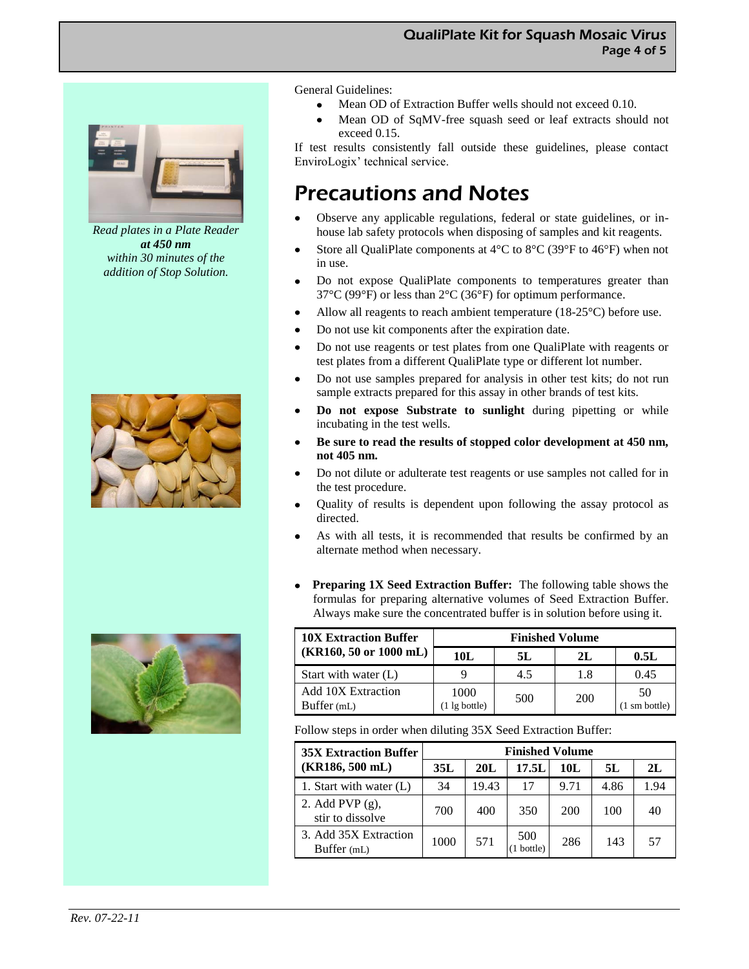

*Read plates in a Plate Reader at 450 nm within 30 minutes of the addition of Stop Solution.*





General Guidelines:

- Mean OD of Extraction Buffer wells should not exceed 0.10.
- Mean OD of SqMV-free squash seed or leaf extracts should not exceed 0.15.

If test results consistently fall outside these guidelines, please contact EnviroLogix' technical service.

### Precautions and Notes

- Observe any applicable regulations, federal or state guidelines, or in- $\bullet$ house lab safety protocols when disposing of samples and kit reagents.
- Store all QualiPlate components at 4°C to 8°C (39°F to 46°F) when not  $\bullet$ in use.
- Do not expose QualiPlate components to temperatures greater than 37°C (99°F) or less than 2°C (36°F) for optimum performance.
- Allow all reagents to reach ambient temperature  $(18-25^{\circ}C)$  before use.  $\bullet$
- $\bullet$ Do not use kit components after the expiration date.
- Do not use reagents or test plates from one QualiPlate with reagents or  $\bullet$ test plates from a different QualiPlate type or different lot number.
- $\bullet$ Do not use samples prepared for analysis in other test kits; do not run sample extracts prepared for this assay in other brands of test kits.
- **Do not expose Substrate to sunlight** during pipetting or while incubating in the test wells.
- **Be sure to read the results of stopped color development at 450 nm, not 405 nm.**
- Do not dilute or adulterate test reagents or use samples not called for in the test procedure.
- Quality of results is dependent upon following the assay protocol as directed.
- As with all tests, it is recommended that results be confirmed by an  $\bullet$ alternate method when necessary.
- **Preparing 1X Seed Extraction Buffer:** The following table shows the  $\bullet$ formulas for preparing alternative volumes of Seed Extraction Buffer. Always make sure the concentrated buffer is in solution before using it.

| <b>10X Extraction Buffer</b><br>$(KR160, 50 \text{ or } 1000 \text{ mL})$ | <b>Finished Volume</b>          |     |     |                               |  |  |
|---------------------------------------------------------------------------|---------------------------------|-----|-----|-------------------------------|--|--|
|                                                                           | 10L                             | 5L  | 2L  | 0.5L                          |  |  |
| Start with water (L)                                                      |                                 | 4.5 | 1.8 | 0.45                          |  |  |
| <b>Add 10X Extraction</b><br>Buffer (mL)                                  | 1000<br>$(1 \lg \text{bottle})$ | 500 | 200 | 50<br>$(1 \text{ sm bottle})$ |  |  |

Follow steps in order when diluting 35X Seed Extraction Buffer:

| <b>35X Extraction Buffer</b>           | <b>Finished Volume</b> |       |                |      |      |      |  |
|----------------------------------------|------------------------|-------|----------------|------|------|------|--|
| (KR186, 500 mL)                        | 35L                    | 20L   | 17.5L          | 10L  | 5L   | 2L   |  |
| 1. Start with water $(L)$              | 34                     | 19.43 | 17             | 9.71 | 4.86 | 1.94 |  |
| 2. Add PVP $(g)$ ,<br>stir to dissolve | 700                    | 400   | 350            | 200  | 100  | 40   |  |
| 3. Add 35X Extraction<br>Buffer (mL)   | 1000                   | 571   | 500<br>bottle) | 286  | 143  | 57   |  |